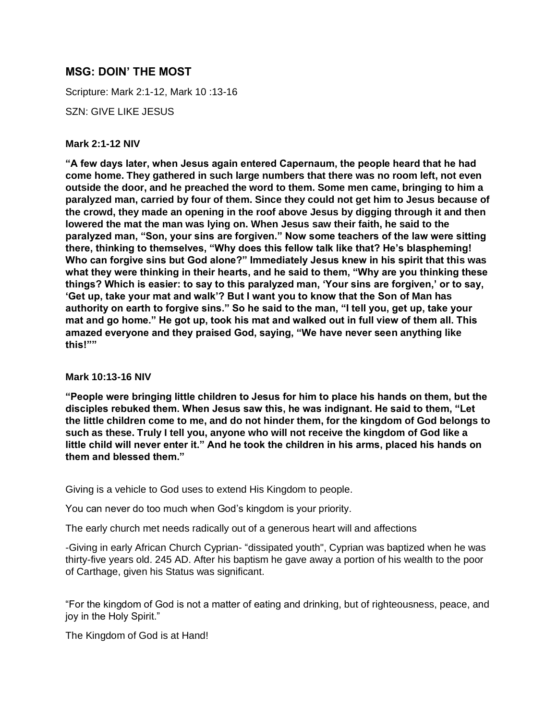# **MSG: DOIN' THE MOST**

Scripture: Mark 2:1-12, Mark 10 :13-16

SZN: GIVE LIKE JESUS

### **Mark 2:1-12 NIV**

**"A few days later, when Jesus again entered Capernaum, the people heard that he had come home. They gathered in such large numbers that there was no room left, not even outside the door, and he preached the word to them. Some men came, bringing to him a paralyzed man, carried by four of them. Since they could not get him to Jesus because of the crowd, they made an opening in the roof above Jesus by digging through it and then lowered the mat the man was lying on. When Jesus saw their faith, he said to the paralyzed man, "Son, your sins are forgiven." Now some teachers of the law were sitting there, thinking to themselves, "Why does this fellow talk like that? He's blaspheming! Who can forgive sins but God alone?" Immediately Jesus knew in his spirit that this was what they were thinking in their hearts, and he said to them, "Why are you thinking these things? Which is easier: to say to this paralyzed man, 'Your sins are forgiven,' or to say, 'Get up, take your mat and walk'? But I want you to know that the Son of Man has authority on earth to forgive sins." So he said to the man, "I tell you, get up, take your mat and go home." He got up, took his mat and walked out in full view of them all. This amazed everyone and they praised God, saying, "We have never seen anything like this!""**

### **Mark 10:13-16 NIV**

**"People were bringing little children to Jesus for him to place his hands on them, but the disciples rebuked them. When Jesus saw this, he was indignant. He said to them, "Let the little children come to me, and do not hinder them, for the kingdom of God belongs to such as these. Truly I tell you, anyone who will not receive the kingdom of God like a little child will never enter it." And he took the children in his arms, placed his hands on them and blessed them."**

Giving is a vehicle to God uses to extend His Kingdom to people.

You can never do too much when God's kingdom is your priority.

The early church met needs radically out of a generous heart will and affections

-Giving in early African Church Cyprian- "dissipated youth", Cyprian was baptized when he was thirty-five years old. 245 AD. After his baptism he gave away a portion of his wealth to the poor of Carthage, given his Status was significant.

"For the kingdom of God is not a matter of eating and drinking, but of righteousness, peace, and joy in the Holy Spirit."

The Kingdom of God is at Hand!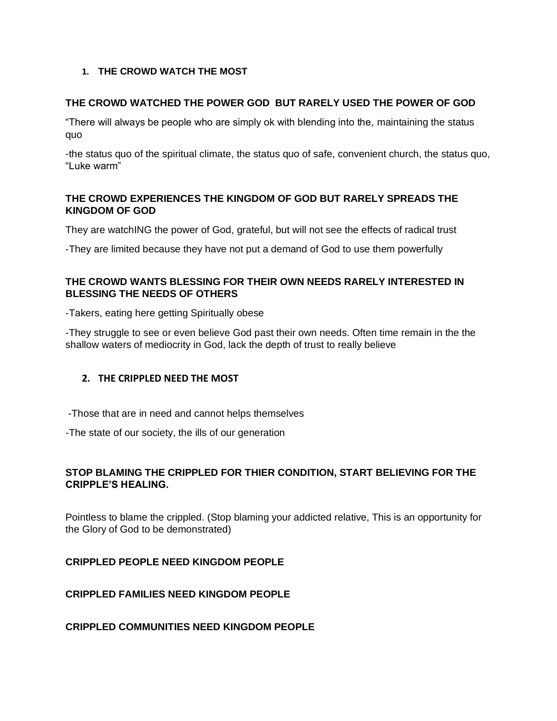### **1. THE CROWD WATCH THE MOST**

### **THE CROWD WATCHED THE POWER GOD BUT RARELY USED THE POWER OF GOD**

"There will always be people who are simply ok with blending into the, maintaining the status quo

-the status quo of the spiritual climate, the status quo of safe, convenient church, the status quo, "Luke warm"

### **THE CROWD EXPERIENCES THE KINGDOM OF GOD BUT RARELY SPREADS THE KINGDOM OF GOD**

They are watchING the power of God, grateful, but will not see the effects of radical trust

-They are limited because they have not put a demand of God to use them powerfully

### **THE CROWD WANTS BLESSING FOR THEIR OWN NEEDS RARELY INTERESTED IN BLESSING THE NEEDS OF OTHERS**

-Takers, eating here getting Spiritually obese

-They struggle to see or even believe God past their own needs. Often time remain in the the shallow waters of mediocrity in God, lack the depth of trust to really believe

### **2. THE CRIPPLED NEED THE MOST**

-Those that are in need and cannot helps themselves

-The state of our society, the ills of our generation

## **STOP BLAMING THE CRIPPLED FOR THIER CONDITION, START BELIEVING FOR THE CRIPPLE'S HEALING.**

Pointless to blame the crippled. (Stop blaming your addicted relative, This is an opportunity for the Glory of God to be demonstrated)

**CRIPPLED PEOPLE NEED KINGDOM PEOPLE**

**CRIPPLED FAMILIES NEED KINGDOM PEOPLE**

**CRIPPLED COMMUNITIES NEED KINGDOM PEOPLE**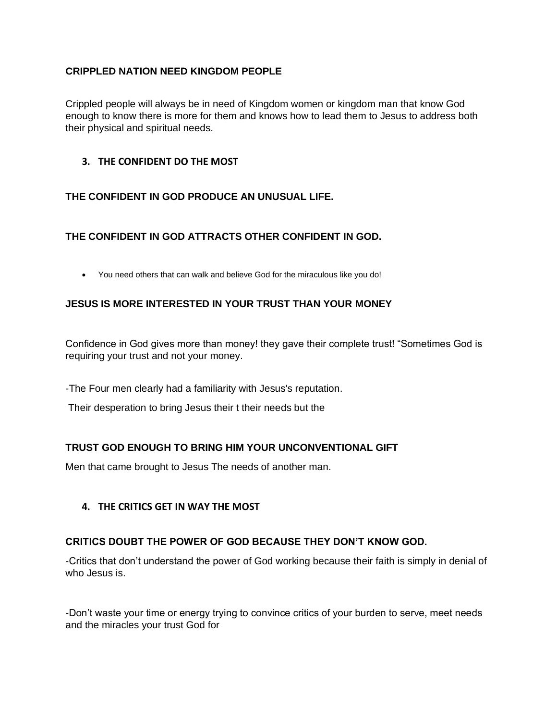### **CRIPPLED NATION NEED KINGDOM PEOPLE**

Crippled people will always be in need of Kingdom women or kingdom man that know God enough to know there is more for them and knows how to lead them to Jesus to address both their physical and spiritual needs.

### **3. THE CONFIDENT DO THE MOST**

### **THE CONFIDENT IN GOD PRODUCE AN UNUSUAL LIFE.**

## **THE CONFIDENT IN GOD ATTRACTS OTHER CONFIDENT IN GOD.**

• You need others that can walk and believe God for the miraculous like you do!

### **JESUS IS MORE INTERESTED IN YOUR TRUST THAN YOUR MONEY**

Confidence in God gives more than money! they gave their complete trust! "Sometimes God is requiring your trust and not your money.

-The Four men clearly had a familiarity with Jesus's reputation.

Their desperation to bring Jesus their t their needs but the

## **TRUST GOD ENOUGH TO BRING HIM YOUR UNCONVENTIONAL GIFT**

Men that came brought to Jesus The needs of another man.

### **4. THE CRITICS GET IN WAY THE MOST**

### **CRITICS DOUBT THE POWER OF GOD BECAUSE THEY DON'T KNOW GOD.**

-Critics that don't understand the power of God working because their faith is simply in denial of who Jesus is.

-Don't waste your time or energy trying to convince critics of your burden to serve, meet needs and the miracles your trust God for